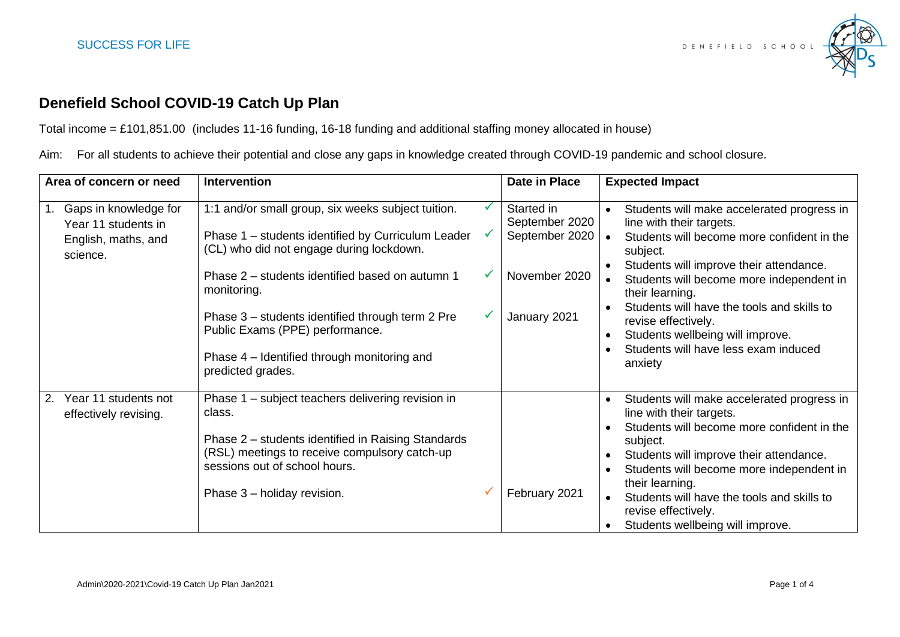

## **Denefield School COVID-19 Catch Up Plan**

Total income = £101,851.00 (includes 11-16 funding, 16-18 funding and additional staffing money allocated in house)

Aim: For all students to achieve their potential and close any gaps in knowledge created through COVID-19 pandemic and school closure.

| Area of concern or need                                                         | <b>Intervention</b>                                                                                                                                                                                                                                                                                                                                                               | Date in Place                                                                   | <b>Expected Impact</b>                                                                                                                                                                                                                                                                                                                                                                                                           |
|---------------------------------------------------------------------------------|-----------------------------------------------------------------------------------------------------------------------------------------------------------------------------------------------------------------------------------------------------------------------------------------------------------------------------------------------------------------------------------|---------------------------------------------------------------------------------|----------------------------------------------------------------------------------------------------------------------------------------------------------------------------------------------------------------------------------------------------------------------------------------------------------------------------------------------------------------------------------------------------------------------------------|
| Gaps in knowledge for<br>Year 11 students in<br>English, maths, and<br>science. | 1:1 and/or small group, six weeks subject tuition.<br>Phase 1 – students identified by Curriculum Leader<br>(CL) who did not engage during lockdown.<br>Phase 2 – students identified based on autumn 1<br>monitoring.<br>Phase 3 – students identified through term 2 Pre<br>Public Exams (PPE) performance.<br>Phase 4 – Identified through monitoring and<br>predicted grades. | Started in<br>September 2020<br>September 2020<br>November 2020<br>January 2021 | Students will make accelerated progress in<br>$\bullet$<br>line with their targets.<br>Students will become more confident in the<br>$\bullet$<br>subject.<br>Students will improve their attendance.<br>Students will become more independent in<br>their learning.<br>Students will have the tools and skills to<br>revise effectively.<br>Students wellbeing will improve.<br>Students will have less exam induced<br>anxiety |
| Year 11 students not<br>2.<br>effectively revising.                             | Phase 1 – subject teachers delivering revision in<br>class.<br>Phase 2 – students identified in Raising Standards<br>(RSL) meetings to receive compulsory catch-up<br>sessions out of school hours.<br>Phase 3 - holiday revision.                                                                                                                                                | February 2021                                                                   | Students will make accelerated progress in<br>$\bullet$<br>line with their targets.<br>Students will become more confident in the<br>subject.<br>Students will improve their attendance.<br>$\bullet$<br>Students will become more independent in<br>$\bullet$<br>their learning.<br>Students will have the tools and skills to<br>$\bullet$<br>revise effectively.<br>Students wellbeing will improve.                          |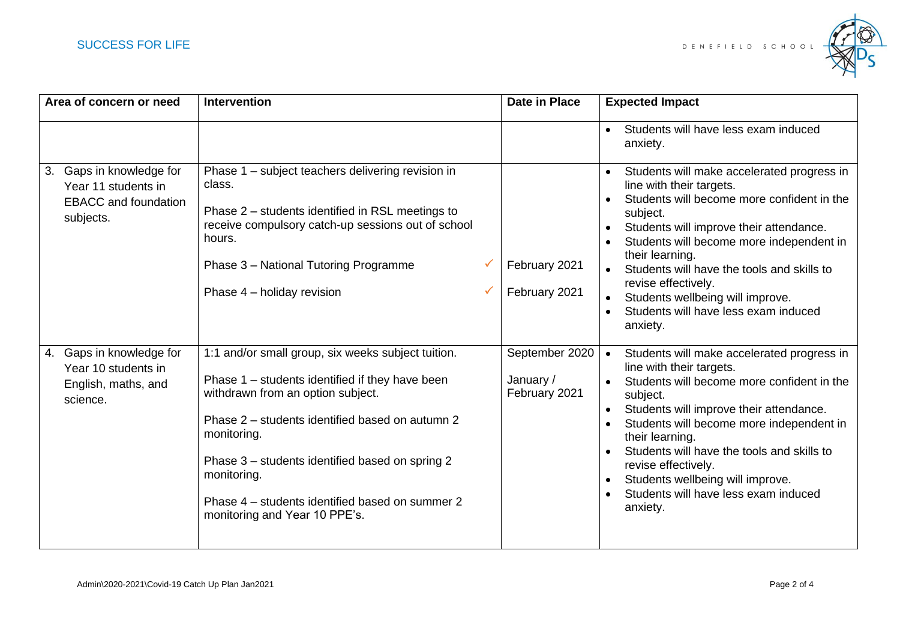

| Area of concern or need                                                                        | <b>Intervention</b>                                                                                                                                                                                                                                                                                                                                                | <b>Date in Place</b>                         | <b>Expected Impact</b>                                                                                                                                                                                                                                                                                                                                                                                               |
|------------------------------------------------------------------------------------------------|--------------------------------------------------------------------------------------------------------------------------------------------------------------------------------------------------------------------------------------------------------------------------------------------------------------------------------------------------------------------|----------------------------------------------|----------------------------------------------------------------------------------------------------------------------------------------------------------------------------------------------------------------------------------------------------------------------------------------------------------------------------------------------------------------------------------------------------------------------|
|                                                                                                |                                                                                                                                                                                                                                                                                                                                                                    |                                              | Students will have less exam induced<br>anxiety.                                                                                                                                                                                                                                                                                                                                                                     |
| Gaps in knowledge for<br>3.<br>Year 11 students in<br><b>EBACC</b> and foundation<br>subjects. | Phase 1 – subject teachers delivering revision in<br>class.<br>Phase 2 – students identified in RSL meetings to<br>receive compulsory catch-up sessions out of school<br>hours.<br>Phase 3 - National Tutoring Programme<br>Phase 4 - holiday revision                                                                                                             | February 2021<br>February 2021               | Students will make accelerated progress in<br>line with their targets.<br>Students will become more confident in the<br>subject.<br>Students will improve their attendance.<br>Students will become more independent in<br>their learning.<br>Students will have the tools and skills to<br>$\bullet$<br>revise effectively.<br>Students wellbeing will improve.<br>Students will have less exam induced<br>anxiety. |
| 4. Gaps in knowledge for<br>Year 10 students in<br>English, maths, and<br>science.             | 1:1 and/or small group, six weeks subject tuition.<br>Phase 1 - students identified if they have been<br>withdrawn from an option subject.<br>Phase 2 – students identified based on autumn 2<br>monitoring.<br>Phase 3 – students identified based on spring 2<br>monitoring.<br>Phase 4 – students identified based on summer 2<br>monitoring and Year 10 PPE's. | September 2020<br>January /<br>February 2021 | Students will make accelerated progress in<br>$\bullet$<br>line with their targets.<br>Students will become more confident in the<br>subject.<br>Students will improve their attendance.<br>Students will become more independent in<br>their learning.<br>Students will have the tools and skills to<br>revise effectively.<br>Students wellbeing will improve.<br>Students will have less exam induced<br>anxiety. |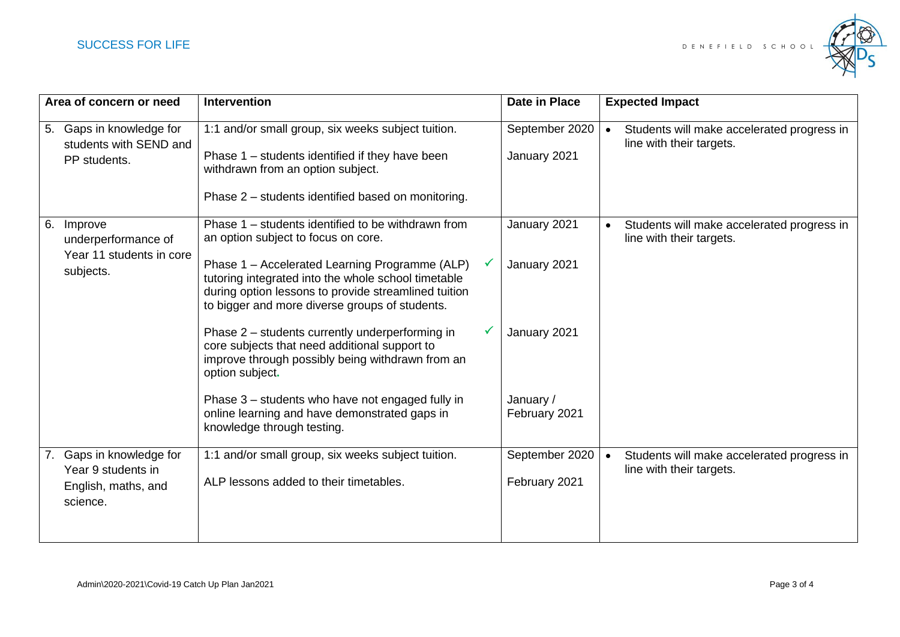

|    | Area of concern or need                                                        | <b>Intervention</b>                                                                                                                                                                                             | <b>Date in Place</b>            |           | <b>Expected Impact</b>                                                 |
|----|--------------------------------------------------------------------------------|-----------------------------------------------------------------------------------------------------------------------------------------------------------------------------------------------------------------|---------------------------------|-----------|------------------------------------------------------------------------|
|    | 5. Gaps in knowledge for<br>students with SEND and<br>PP students.             | 1:1 and/or small group, six weeks subject tuition.<br>Phase 1 – students identified if they have been<br>withdrawn from an option subject.<br>Phase 2 – students identified based on monitoring.                | September 2020<br>January 2021  | $\bullet$ | Students will make accelerated progress in<br>line with their targets. |
|    | 6. Improve<br>underperformance of<br>Year 11 students in core<br>subjects.     | Phase 1 – students identified to be withdrawn from<br>an option subject to focus on core.                                                                                                                       | January 2021                    | $\bullet$ | Students will make accelerated progress in<br>line with their targets. |
|    |                                                                                | Phase 1 - Accelerated Learning Programme (ALP)<br>tutoring integrated into the whole school timetable<br>during option lessons to provide streamlined tuition<br>to bigger and more diverse groups of students. | January 2021                    |           |                                                                        |
|    |                                                                                | Phase 2 - students currently underperforming in<br>core subjects that need additional support to<br>improve through possibly being withdrawn from an<br>option subject.                                         | January 2021                    |           |                                                                        |
|    |                                                                                | Phase 3 – students who have not engaged fully in<br>online learning and have demonstrated gaps in<br>knowledge through testing.                                                                                 | January /<br>February 2021      |           |                                                                        |
| 7. | Gaps in knowledge for<br>Year 9 students in<br>English, maths, and<br>science. | 1:1 and/or small group, six weeks subject tuition.<br>ALP lessons added to their timetables.                                                                                                                    | September 2020<br>February 2021 | $\bullet$ | Students will make accelerated progress in<br>line with their targets. |